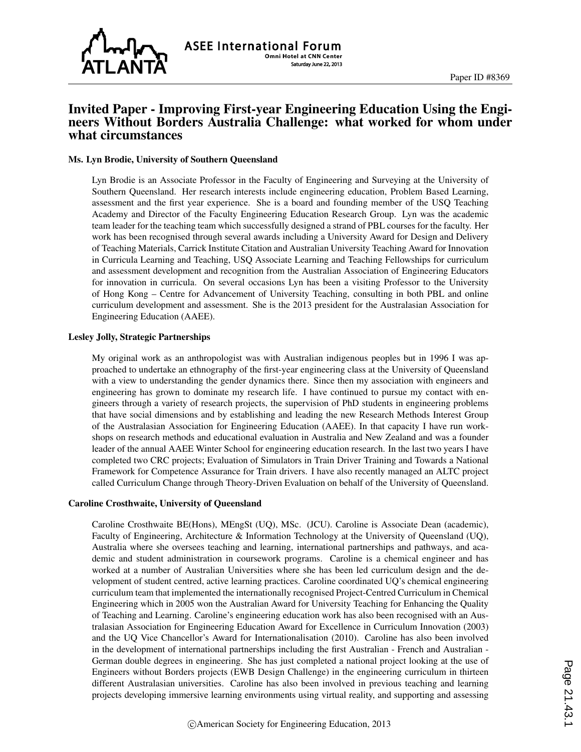

## Invited Paper - Improving First-year Engineering Education Using the Engineers Without Borders Australia Challenge: what worked for whom under what circumstances

#### Ms. Lyn Brodie, University of Southern Queensland

Lyn Brodie is an Associate Professor in the Faculty of Engineering and Surveying at the University of Southern Queensland. Her research interests include engineering education, Problem Based Learning, assessment and the first year experience. She is a board and founding member of the USQ Teaching Academy and Director of the Faculty Engineering Education Research Group. Lyn was the academic team leader for the teaching team which successfully designed a strand of PBL courses for the faculty. Her work has been recognised through several awards including a University Award for Design and Delivery of Teaching Materials, Carrick Institute Citation and Australian University Teaching Award for Innovation in Curricula Learning and Teaching, USQ Associate Learning and Teaching Fellowships for curriculum and assessment development and recognition from the Australian Association of Engineering Educators for innovation in curricula. On several occasions Lyn has been a visiting Professor to the University of Hong Kong – Centre for Advancement of University Teaching, consulting in both PBL and online curriculum development and assessment. She is the 2013 president for the Australasian Association for Engineering Education (AAEE).

#### Lesley Jolly, Strategic Partnerships

My original work as an anthropologist was with Australian indigenous peoples but in 1996 I was approached to undertake an ethnography of the first-year engineering class at the University of Queensland with a view to understanding the gender dynamics there. Since then my association with engineers and engineering has grown to dominate my research life. I have continued to pursue my contact with engineers through a variety of research projects, the supervision of PhD students in engineering problems that have social dimensions and by establishing and leading the new Research Methods Interest Group of the Australasian Association for Engineering Education (AAEE). In that capacity I have run workshops on research methods and educational evaluation in Australia and New Zealand and was a founder leader of the annual AAEE Winter School for engineering education research. In the last two years I have completed two CRC projects; Evaluation of Simulators in Train Driver Training and Towards a National Framework for Competence Assurance for Train drivers. I have also recently managed an ALTC project called Curriculum Change through Theory-Driven Evaluation on behalf of the University of Queensland.

#### Caroline Crosthwaite, University of Queensland

Caroline Crosthwaite BE(Hons), MEngSt (UQ), MSc. (JCU). Caroline is Associate Dean (academic), Faculty of Engineering, Architecture & Information Technology at the University of Queensland (UQ), Australia where she oversees teaching and learning, international partnerships and pathways, and academic and student administration in coursework programs. Caroline is a chemical engineer and has worked at a number of Australian Universities where she has been led curriculum design and the development of student centred, active learning practices. Caroline coordinated UQ's chemical engineering curriculum team that implemented the internationally recognised Project-Centred Curriculum in Chemical Engineering which in 2005 won the Australian Award for University Teaching for Enhancing the Quality of Teaching and Learning. Caroline's engineering education work has also been recognised with an Australasian Association for Engineering Education Award for Excellence in Curriculum Innovation (2003) and the UQ Vice Chancellor's Award for Internationalisation (2010). Caroline has also been involved in the development of international partnerships including the first Australian - French and Australian - German double degrees in engineering. She has just completed a national project looking at the use of Engineers without Borders projects (EWB Design Challenge) in the engineering curriculum in thirteen different Australasian universities. Caroline has also been involved in previous teaching and learning projects developing immersive learning environments using virtual reality, and supporting and assessing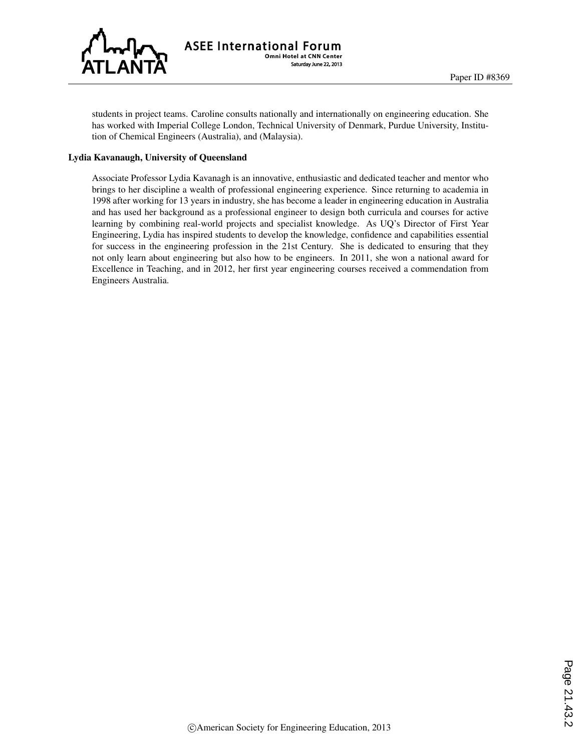

students in project teams. Caroline consults nationally and internationally on engineering education. She has worked with Imperial College London, Technical University of Denmark, Purdue University, Institution of Chemical Engineers (Australia), and (Malaysia).

#### Lydia Kavanaugh, University of Queensland

Associate Professor Lydia Kavanagh is an innovative, enthusiastic and dedicated teacher and mentor who brings to her discipline a wealth of professional engineering experience. Since returning to academia in 1998 after working for 13 years in industry, she has become a leader in engineering education in Australia and has used her background as a professional engineer to design both curricula and courses for active learning by combining real-world projects and specialist knowledge. As UQ's Director of First Year Engineering, Lydia has inspired students to develop the knowledge, confidence and capabilities essential for success in the engineering profession in the 21st Century. She is dedicated to ensuring that they not only learn about engineering but also how to be engineers. In 2011, she won a national award for Excellence in Teaching, and in 2012, her first year engineering courses received a commendation from Engineers Australia.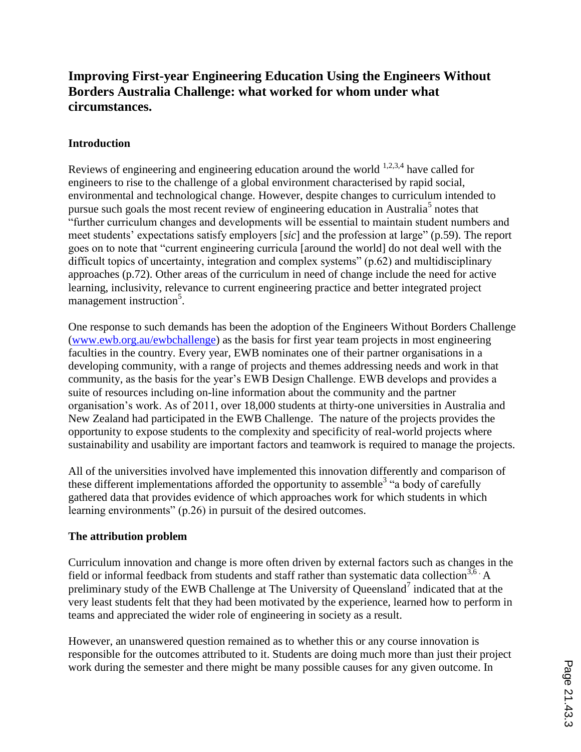# **Improving First-year Engineering Education Using the Engineers Without Borders Australia Challenge: what worked for whom under what circumstances.**

## **Introduction**

Reviews of engineering and engineering education around the world  $1,2,3,4$  have called for engineers to rise to the challenge of a global environment characterised by rapid social, environmental and technological change. However, despite changes to curriculum intended to pursue such goals the most recent review of engineering education in Australia<sup>5</sup> notes that "further curriculum changes and developments will be essential to maintain student numbers and meet students' expectations satisfy employers [*sic*] and the profession at large" (p.59). The report goes on to note that "current engineering curricula [around the world] do not deal well with the difficult topics of uncertainty, integration and complex systems" (p.62) and multidisciplinary approaches (p.72). Other areas of the curriculum in need of change include the need for active learning, inclusivity, relevance to current engineering practice and better integrated project management instruction<sup>5</sup>.

One response to such demands has been the adoption of the Engineers Without Borders Challenge (www.ewb.org.au/ewbchallenge) as the basis for first year team projects in most engineering faculties in the country. Every year, EWB nominates one of their partner organisations in a developing community, with a range of projects and themes addressing needs and work in that community, as the basis for the year's EWB Design Challenge. EWB develops and provides a suite of resources including on-line information about the community and the partner organisation's work. As of 2011, over 18,000 students at thirty-one universities in Australia and New Zealand had participated in the EWB Challenge. The nature of the projects provides the opportunity to expose students to the complexity and specificity of real-world projects where sustainability and usability are important factors and teamwork is required to manage the projects.

All of the universities involved have implemented this innovation differently and comparison of these different implementations afforded the opportunity to assemble<sup>3</sup> "a body of carefully gathered data that provides evidence of which approaches work for which students in which learning environments" (p.26) in pursuit of the desired outcomes.

## **The attribution problem**

Curriculum innovation and change is more often driven by external factors such as changes in the field or informal feedback from students and staff rather than systematic data collection<sup>3,6</sup>  $\cdot$  A preliminary study of the EWB Challenge at The University of Queensland<sup>7</sup> indicated that at the very least students felt that they had been motivated by the experience, learned how to perform in teams and appreciated the wider role of engineering in society as a result.

However, an unanswered question remained as to whether this or any course innovation is responsible for the outcomes attributed to it. Students are doing much more than just their project work during the semester and there might be many possible causes for any given outcome. In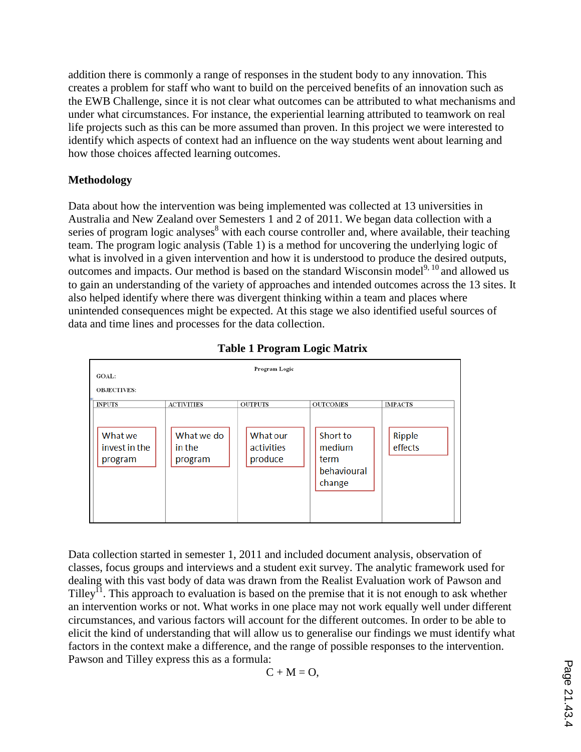addition there is commonly a range of responses in the student body to any innovation. This creates a problem for staff who want to build on the perceived benefits of an innovation such as the EWB Challenge, since it is not clear what outcomes can be attributed to what mechanisms and under what circumstances. For instance, the experiential learning attributed to teamwork on real life projects such as this can be more assumed than proven. In this project we were interested to identify which aspects of context had an influence on the way students went about learning and how those choices affected learning outcomes.

## **Methodology**

Data about how the intervention was being implemented was collected at 13 universities in Australia and New Zealand over Semesters 1 and 2 of 2011. We began data collection with a series of program logic analyses<sup>8</sup> with each course controller and, where available, their teaching team. The program logic analysis (Table 1) is a method for uncovering the underlying logic of what is involved in a given intervention and how it is understood to produce the desired outputs, outcomes and impacts. Our method is based on the standard Wisconsin model<sup>9, 10</sup> and allowed us to gain an understanding of the variety of approaches and intended outcomes across the 13 sites. It also helped identify where there was divergent thinking within a team and places where unintended consequences might be expected. At this stage we also identified useful sources of data and time lines and processes for the data collection.



**Table 1 Program Logic Matrix**

Data collection started in semester 1, 2011 and included document analysis, observation of classes, focus groups and interviews and a student exit survey. The analytic framework used for dealing with this vast body of data was drawn from the Realist Evaluation work of Pawson and Tilley<sup> $\overline{1}$ </sup>. This approach to evaluation is based on the premise that it is not enough to ask whether an intervention works or not. What works in one place may not work equally well under different circumstances, and various factors will account for the different outcomes. In order to be able to elicit the kind of understanding that will allow us to generalise our findings we must identify what factors in the context make a difference, and the range of possible responses to the intervention. Pawson and Tilley express this as a formula:

$$
C + M = O,
$$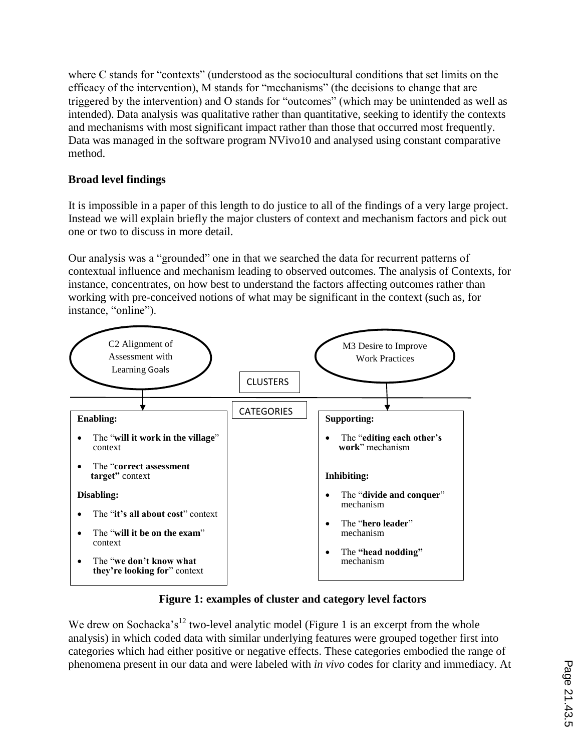where C stands for "contexts" (understood as the sociocultural conditions that set limits on the efficacy of the intervention), M stands for "mechanisms" (the decisions to change that are triggered by the intervention) and O stands for "outcomes" (which may be unintended as well as intended). Data analysis was qualitative rather than quantitative, seeking to identify the contexts and mechanisms with most significant impact rather than those that occurred most frequently. Data was managed in the software program NVivo10 and analysed using constant comparative method.

## **Broad level findings**

It is impossible in a paper of this length to do justice to all of the findings of a very large project. Instead we will explain briefly the major clusters of context and mechanism factors and pick out one or two to discuss in more detail.

Our analysis was a "grounded" one in that we searched the data for recurrent patterns of contextual influence and mechanism leading to observed outcomes. The analysis of Contexts, for instance, concentrates, on how best to understand the factors affecting outcomes rather than working with pre-conceived notions of what may be significant in the context (such as, for instance, "online").



**Figure 1: examples of cluster and category level factors**

We drew on Sochacka's<sup>12</sup> two-level analytic model (Figure 1 is an excerpt from the whole analysis) in which coded data with similar underlying features were grouped together first into categories which had either positive or negative effects. These categories embodied the range of phenomena present in our data and were labeled with *in vivo* codes for clarity and immediacy. At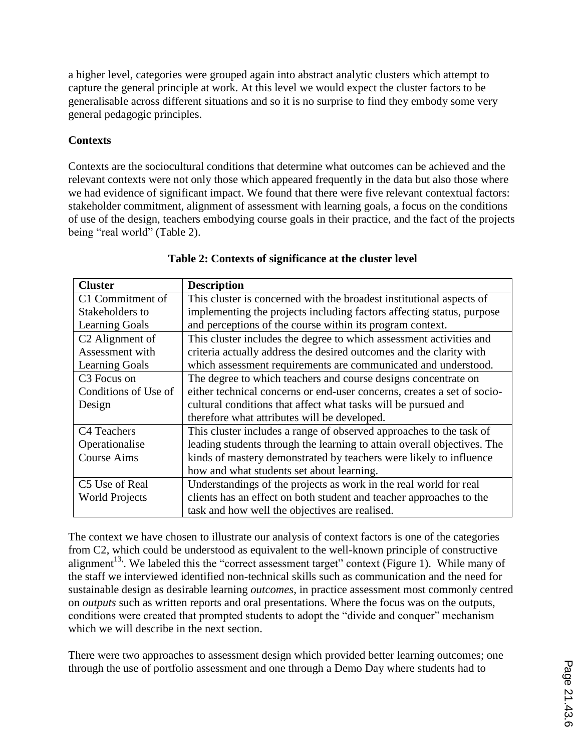a higher level, categories were grouped again into abstract analytic clusters which attempt to capture the general principle at work. At this level we would expect the cluster factors to be generalisable across different situations and so it is no surprise to find they embody some very general pedagogic principles.

## **Contexts**

Contexts are the sociocultural conditions that determine what outcomes can be achieved and the relevant contexts were not only those which appeared frequently in the data but also those where we had evidence of significant impact. We found that there were five relevant contextual factors: stakeholder commitment, alignment of assessment with learning goals, a focus on the conditions of use of the design, teachers embodying course goals in their practice, and the fact of the projects being "real world" (Table 2).

| <b>Cluster</b>              | <b>Description</b>                                                      |  |  |  |  |
|-----------------------------|-------------------------------------------------------------------------|--|--|--|--|
| C1 Commitment of            | This cluster is concerned with the broadest institutional aspects of    |  |  |  |  |
| Stakeholders to             | implementing the projects including factors affecting status, purpose   |  |  |  |  |
| <b>Learning Goals</b>       | and perceptions of the course within its program context.               |  |  |  |  |
| C <sub>2</sub> Alignment of | This cluster includes the degree to which assessment activities and     |  |  |  |  |
| Assessment with             | criteria actually address the desired outcomes and the clarity with     |  |  |  |  |
| <b>Learning Goals</b>       | which assessment requirements are communicated and understood.          |  |  |  |  |
| C <sub>3</sub> Focus on     | The degree to which teachers and course designs concentrate on          |  |  |  |  |
| Conditions of Use of        | either technical concerns or end-user concerns, creates a set of socio- |  |  |  |  |
| Design                      | cultural conditions that affect what tasks will be pursued and          |  |  |  |  |
|                             | therefore what attributes will be developed.                            |  |  |  |  |
| C4 Teachers                 | This cluster includes a range of observed approaches to the task of     |  |  |  |  |
| Operationalise              | leading students through the learning to attain overall objectives. The |  |  |  |  |
| <b>Course Aims</b>          | kinds of mastery demonstrated by teachers were likely to influence      |  |  |  |  |
|                             | how and what students set about learning.                               |  |  |  |  |
| C5 Use of Real              | Understandings of the projects as work in the real world for real       |  |  |  |  |
| <b>World Projects</b>       | clients has an effect on both student and teacher approaches to the     |  |  |  |  |
|                             | task and how well the objectives are realised.                          |  |  |  |  |

## **Table 2: Contexts of significance at the cluster level**

The context we have chosen to illustrate our analysis of context factors is one of the categories from C2, which could be understood as equivalent to the well-known principle of constructive alignment<sup>13</sup>. We labeled this the "correct assessment target" context (Figure 1). While many of the staff we interviewed identified non-technical skills such as communication and the need for sustainable design as desirable learning *outcomes*, in practice assessment most commonly centred on *outputs* such as written reports and oral presentations. Where the focus was on the outputs, conditions were created that prompted students to adopt the "divide and conquer" mechanism which we will describe in the next section.

There were two approaches to assessment design which provided better learning outcomes; one through the use of portfolio assessment and one through a Demo Day where students had to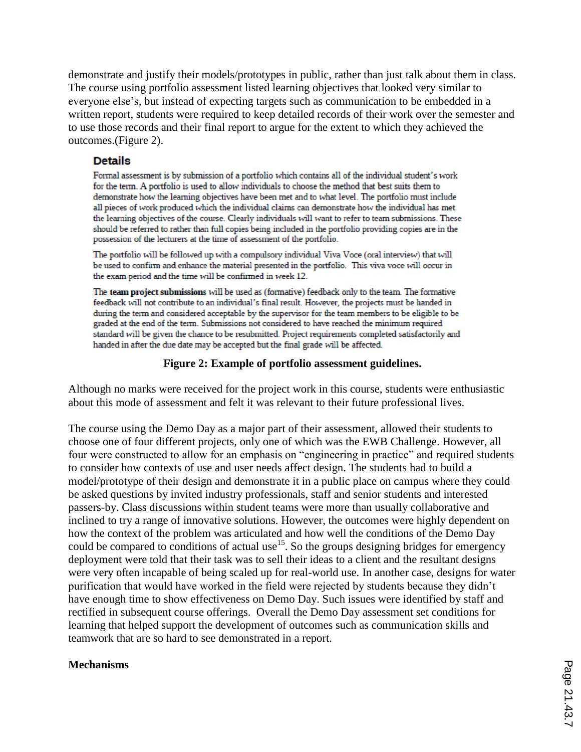demonstrate and justify their models/prototypes in public, rather than just talk about them in class. The course using portfolio assessment listed learning objectives that looked very similar to everyone else's, but instead of expecting targets such as communication to be embedded in a written report, students were required to keep detailed records of their work over the semester and to use those records and their final report to argue for the extent to which they achieved the outcomes.(Figure 2).

### **Details**

Formal assessment is by submission of a portfolio which contains all of the individual student's work for the term. A portfolio is used to allow individuals to choose the method that best suits them to demonstrate how the learning objectives have been met and to what level. The portfolio must include all pieces of work produced which the individual claims can demonstrate how the individual has met the learning objectives of the course. Clearly individuals will want to refer to team submissions. These should be referred to rather than full copies being included in the portfolio providing copies are in the possession of the lecturers at the time of assessment of the portfolio.

The portfolio will be followed up with a compulsory individual Viva Voce (oral interview) that will be used to confirm and enhance the material presented in the portfolio. This viva voce will occur in the exam period and the time will be confirmed in week 12.

The team project submissions will be used as (formative) feedback only to the team. The formative feedback will not contribute to an individual's final result. However, the projects must be handed in during the term and considered acceptable by the supervisor for the team members to be eligible to be graded at the end of the term. Submissions not considered to have reached the minimum required standard will be given the chance to be resubmitted. Project requirements completed satisfactorily and handed in after the due date may be accepted but the final grade will be affected.

## **Figure 2: Example of portfolio assessment guidelines.**

Although no marks were received for the project work in this course, students were enthusiastic about this mode of assessment and felt it was relevant to their future professional lives.

The course using the Demo Day as a major part of their assessment, allowed their students to choose one of four different projects, only one of which was the EWB Challenge. However, all four were constructed to allow for an emphasis on "engineering in practice" and required students to consider how contexts of use and user needs affect design. The students had to build a model/prototype of their design and demonstrate it in a public place on campus where they could be asked questions by invited industry professionals, staff and senior students and interested passers-by. Class discussions within student teams were more than usually collaborative and inclined to try a range of innovative solutions. However, the outcomes were highly dependent on how the context of the problem was articulated and how well the conditions of the Demo Day could be compared to conditions of actual use<sup>15</sup>. So the groups designing bridges for emergency deployment were told that their task was to sell their ideas to a client and the resultant designs were very often incapable of being scaled up for real-world use. In another case, designs for water purification that would have worked in the field were rejected by students because they didn't have enough time to show effectiveness on Demo Day. Such issues were identified by staff and rectified in subsequent course offerings. Overall the Demo Day assessment set conditions for learning that helped support the development of outcomes such as communication skills and teamwork that are so hard to see demonstrated in a report.

### **Mechanisms**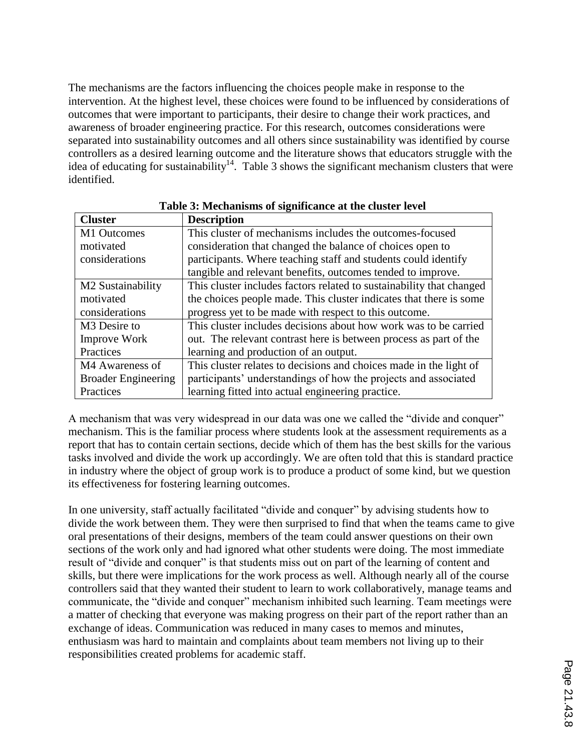The mechanisms are the factors influencing the choices people make in response to the intervention. At the highest level, these choices were found to be influenced by considerations of outcomes that were important to participants, their desire to change their work practices, and awareness of broader engineering practice. For this research, outcomes considerations were separated into sustainability outcomes and all others since sustainability was identified by course controllers as a desired learning outcome and the literature shows that educators struggle with the idea of educating for sustainability<sup>14</sup>. Table 3 shows the significant mechanism clusters that were identified.

| <b>Cluster</b>                | <b>Description</b>                                                   |  |  |  |  |
|-------------------------------|----------------------------------------------------------------------|--|--|--|--|
| M1 Outcomes                   | This cluster of mechanisms includes the outcomes-focused             |  |  |  |  |
| motivated                     | consideration that changed the balance of choices open to            |  |  |  |  |
| considerations                | participants. Where teaching staff and students could identify       |  |  |  |  |
|                               | tangible and relevant benefits, outcomes tended to improve.          |  |  |  |  |
| M <sub>2</sub> Sustainability | This cluster includes factors related to sustainability that changed |  |  |  |  |
| motivated                     | the choices people made. This cluster indicates that there is some   |  |  |  |  |
| considerations                | progress yet to be made with respect to this outcome.                |  |  |  |  |
| M <sub>3</sub> Desire to      | This cluster includes decisions about how work was to be carried     |  |  |  |  |
| <b>Improve Work</b>           | out. The relevant contrast here is between process as part of the    |  |  |  |  |
| Practices                     | learning and production of an output.                                |  |  |  |  |
| M4 Awareness of               | This cluster relates to decisions and choices made in the light of   |  |  |  |  |
| <b>Broader Engineering</b>    | participants' understandings of how the projects and associated      |  |  |  |  |
| Practices                     | learning fitted into actual engineering practice.                    |  |  |  |  |

**Table 3: Mechanisms of significance at the cluster level**

A mechanism that was very widespread in our data was one we called the "divide and conquer" mechanism. This is the familiar process where students look at the assessment requirements as a report that has to contain certain sections, decide which of them has the best skills for the various tasks involved and divide the work up accordingly. We are often told that this is standard practice in industry where the object of group work is to produce a product of some kind, but we question its effectiveness for fostering learning outcomes.

In one university, staff actually facilitated "divide and conquer" by advising students how to divide the work between them. They were then surprised to find that when the teams came to give oral presentations of their designs, members of the team could answer questions on their own sections of the work only and had ignored what other students were doing. The most immediate result of "divide and conquer" is that students miss out on part of the learning of content and skills, but there were implications for the work process as well. Although nearly all of the course controllers said that they wanted their student to learn to work collaboratively, manage teams and communicate, the "divide and conquer" mechanism inhibited such learning. Team meetings were a matter of checking that everyone was making progress on their part of the report rather than an exchange of ideas. Communication was reduced in many cases to memos and minutes, enthusiasm was hard to maintain and complaints about team members not living up to their responsibilities created problems for academic staff.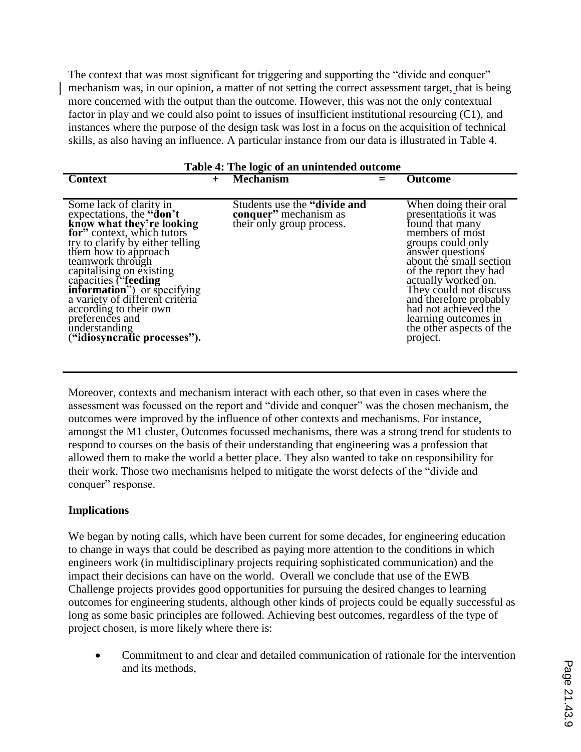The context that was most significant for triggering and supporting the "divide and conquer" mechanism was, in our opinion, a matter of not setting the correct assessment target, that is being more concerned with the output than the outcome. However, this was not the only contextual factor in play and we could also point to issues of insufficient institutional resourcing (C1), and instances where the purpose of the design task was lost in a focus on the acquisition of technical skills, as also having an influence. A particular instance from our data is illustrated in Table 4.

| Table 4: The logic of an unintended outcome                                                                                                                                                                                                                                                                                                                                                                                 |        |                                                                                     |  |                                                                                                                                                                                                                                                                                                                                                      |  |  |  |
|-----------------------------------------------------------------------------------------------------------------------------------------------------------------------------------------------------------------------------------------------------------------------------------------------------------------------------------------------------------------------------------------------------------------------------|--------|-------------------------------------------------------------------------------------|--|------------------------------------------------------------------------------------------------------------------------------------------------------------------------------------------------------------------------------------------------------------------------------------------------------------------------------------------------------|--|--|--|
| <b>Context</b>                                                                                                                                                                                                                                                                                                                                                                                                              | $^{+}$ | <b>Mechanism</b>                                                                    |  | <b>Outcome</b>                                                                                                                                                                                                                                                                                                                                       |  |  |  |
| Some lack of clarity in<br>expectations, the "don't"<br>know what they're looking<br>for" context, which tutors<br>try to clarify by either telling<br>them how to approach<br>teamwork through<br>capitalising on existing<br>capacities ("feeding<br><b>information</b> ") or specifying<br>a variety of different criteria<br>according to their own<br>preferences and<br>understanding<br>("idiosyncratic processes"). |        | Students use the "divide and"<br>conquer" mechanism as<br>their only group process. |  | When doing their oral<br>presentations it was<br>found that many<br>members of most<br>groups could only<br>answer questions<br>about the small section<br>of the report they had<br>actually worked on.<br>They could not discuss<br>and therefore probably<br>had not achieved the<br>learning outcomes in<br>the other aspects of the<br>project. |  |  |  |

Moreover, contexts and mechanism interact with each other, so that even in cases where the assessment was focussed on the report and "divide and conquer" was the chosen mechanism, the outcomes were improved by the influence of other contexts and mechanisms. For instance, amongst the M1 cluster, Outcomes focussed mechanisms, there was a strong trend for students to respond to courses on the basis of their understanding that engineering was a profession that allowed them to make the world a better place. They also wanted to take on responsibility for their work. Those two mechanisms helped to mitigate the worst defects of the "divide and conquer" response.

### **Implications**

We began by noting calls, which have been current for some decades, for engineering education to change in ways that could be described as paying more attention to the conditions in which engineers work (in multidisciplinary projects requiring sophisticated communication) and the impact their decisions can have on the world. Overall we conclude that use of the EWB Challenge projects provides good opportunities for pursuing the desired changes to learning outcomes for engineering students, although other kinds of projects could be equally successful as long as some basic principles are followed. Achieving best outcomes, regardless of the type of project chosen, is more likely where there is:

 Commitment to and clear and detailed communication of rationale for the intervention and its methods,